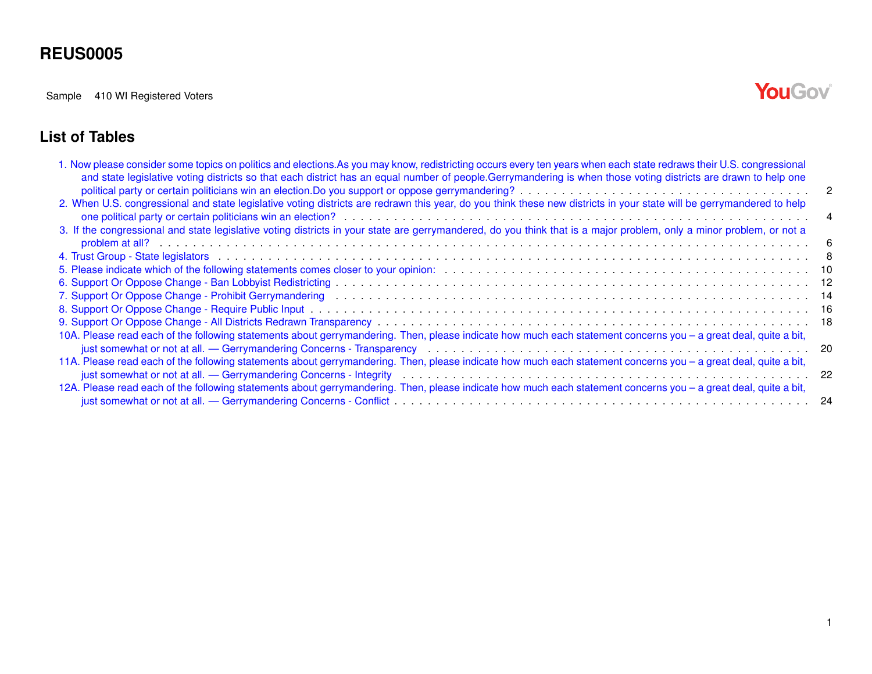Sample 410 WI Registered Voters

# YouGov®

#### **List of Tables**

| 1. Now please consider some topics on politics and elections. As you may know, redistricting occurs every ten years when each state redraws their U.S. congressional<br>and state legislative voting districts so that each district has an equal number of people.Gerrymandering is when those voting districts are drawn to help one                                                                    |    |
|-----------------------------------------------------------------------------------------------------------------------------------------------------------------------------------------------------------------------------------------------------------------------------------------------------------------------------------------------------------------------------------------------------------|----|
| political party or certain politicians win an election. Do you support or oppose gerrymandering?<br>and the section of the section of the section of the section of the section of the section of the support or oppose gerryman<br>2. When U.S. congressional and state legislative voting districts are redrawn this year, do you think these new districts in your state will be gerrymandered to help | -2 |
|                                                                                                                                                                                                                                                                                                                                                                                                           |    |
| 3. If the congressional and state legislative voting districts in your state are gerrymandered, do you think that is a major problem, only a minor problem, or not a                                                                                                                                                                                                                                      |    |
|                                                                                                                                                                                                                                                                                                                                                                                                           |    |
|                                                                                                                                                                                                                                                                                                                                                                                                           |    |
|                                                                                                                                                                                                                                                                                                                                                                                                           |    |
|                                                                                                                                                                                                                                                                                                                                                                                                           |    |
|                                                                                                                                                                                                                                                                                                                                                                                                           |    |
|                                                                                                                                                                                                                                                                                                                                                                                                           |    |
|                                                                                                                                                                                                                                                                                                                                                                                                           |    |
| 10A. Please read each of the following statements about gerrymandering. Then, please indicate how much each statement concerns you - a great deal, quite a bit,                                                                                                                                                                                                                                           |    |
|                                                                                                                                                                                                                                                                                                                                                                                                           |    |
| 11A. Please read each of the following statements about gerrymandering. Then, please indicate how much each statement concerns you - a great deal, quite a bit,                                                                                                                                                                                                                                           |    |
|                                                                                                                                                                                                                                                                                                                                                                                                           |    |
| 12A. Please read each of the following statements about gerrymandering. Then, please indicate how much each statement concerns you - a great deal, quite a bit,                                                                                                                                                                                                                                           |    |
|                                                                                                                                                                                                                                                                                                                                                                                                           |    |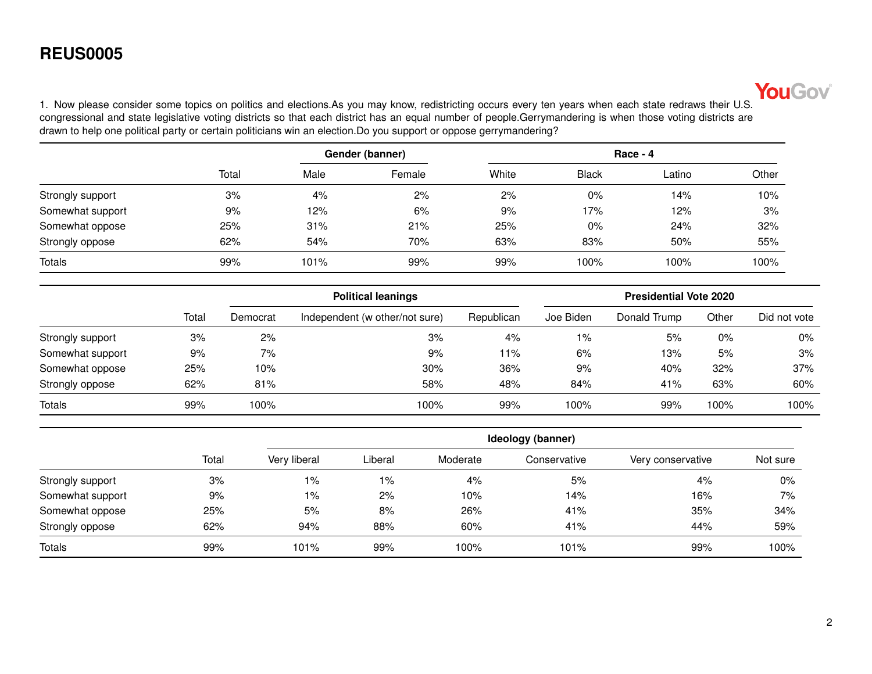

<span id="page-1-0"></span>1. Now please consider some topics on politics and elections.As you may know, redistricting occurs every ten years when each state redraws their U.S. congressional and state legislative voting districts so that each district has an equal number of people.Gerrymandering is when those voting districts are drawn to help one political party or certain politicians win an election.Do you support or oppose gerrymandering?

|                  |       | Gender (banner) |        |       | Race - 4     |        |       |  |  |
|------------------|-------|-----------------|--------|-------|--------------|--------|-------|--|--|
|                  | Total | Male            | Female | White | <b>Black</b> | Latino | Other |  |  |
| Strongly support | 3%    | 4%              | 2%     | 2%    | 0%           | 14%    | 10%   |  |  |
| Somewhat support | 9%    | 12%             | 6%     | 9%    | 17%          | 12%    | 3%    |  |  |
| Somewhat oppose  | 25%   | 31%             | 21%    | 25%   | 0%           | 24%    | 32%   |  |  |
| Strongly oppose  | 62%   | 54%             | 70%    | 63%   | 83%          | 50%    | 55%   |  |  |
| <b>Totals</b>    | 99%   | 101%            | 99%    | 99%   | 100%         | 100%   | 100%  |  |  |

|                  |       |          | <b>Political leanings</b>      |            |           | <b>Presidential Vote 2020</b> |       |              |
|------------------|-------|----------|--------------------------------|------------|-----------|-------------------------------|-------|--------------|
|                  | Total | Democrat | Independent (w other/not sure) | Republican | Joe Biden | Donald Trump                  | Other | Did not vote |
| Strongly support | 3%    | 2%       | 3%                             | $4\%$      | $1\%$     | 5%                            | $0\%$ | 0%           |
| Somewhat support | 9%    | 7%       | 9%                             | l 1%       | 6%        | 13%                           | 5%    | 3%           |
| Somewhat oppose  | 25%   | 10%      | 30%                            | 36%        | 9%        | 40%                           | 32%   | 37%          |
| Strongly oppose  | 62%   | 81%      | 58%                            | 48%        | 84%       | 41%                           | 63%   | 60%          |
| <b>Totals</b>    | 99%   | 100%     | 100%                           | 99%        | 100%      | 99%                           | 100%  | 100%         |

|                  |       |              |         |          | Ideology (banner) |                   |          |  |
|------------------|-------|--------------|---------|----------|-------------------|-------------------|----------|--|
|                  | Total | Very liberal | Liberal | Moderate | Conservative      | Very conservative | Not sure |  |
| Strongly support | 3%    | 1%           | 1%      | 4%       | 5%                | 4%                | $0\%$    |  |
| Somewhat support | 9%    | 1%           | 2%      | 10%      | 14%               | 16%               | 7%       |  |
| Somewhat oppose  | 25%   | 5%           | 8%      | 26%      | 41%               | 35%               | 34%      |  |
| Strongly oppose  | 62%   | 94%          | 88%     | 60%      | 41%               | 44%               | 59%      |  |
| <b>Totals</b>    | 99%   | 101%         | 99%     | 100%     | 101%              | 99%               | 100%     |  |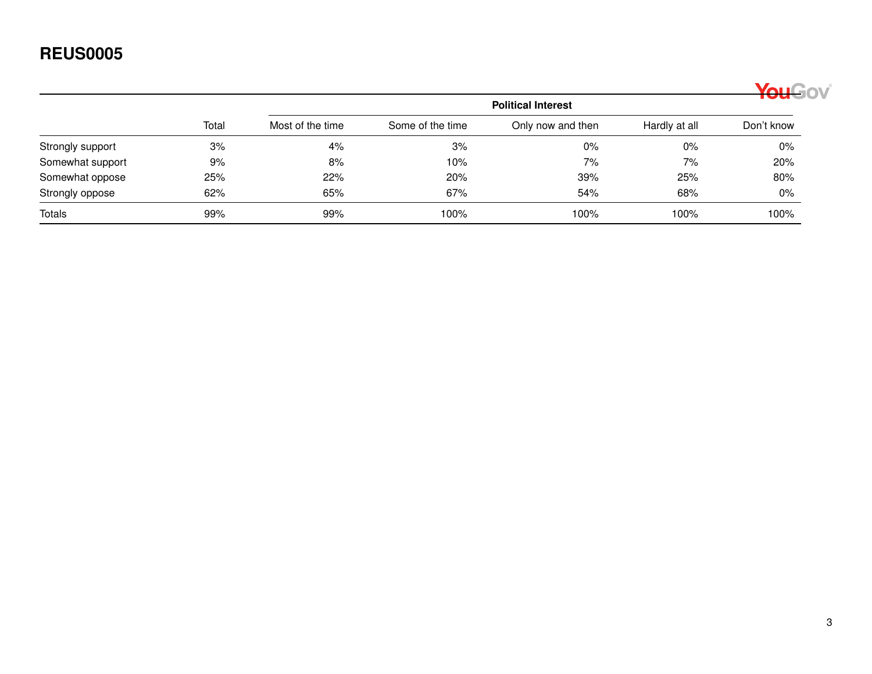|                  |       |                  |                  |                           |               | YouGov     |
|------------------|-------|------------------|------------------|---------------------------|---------------|------------|
|                  |       |                  |                  | <b>Political Interest</b> |               |            |
|                  | Total | Most of the time | Some of the time | Only now and then         | Hardly at all | Don't know |
| Strongly support | 3%    | 4%               | 3%               | $0\%$                     | $0\%$         | $0\%$      |
| Somewhat support | 9%    | 8%               | 10%              | 7%                        | 7%            | 20%        |
| Somewhat oppose  | 25%   | 22%              | 20%              | 39%                       | 25%           | 80%        |
| Strongly oppose  | 62%   | 65%              | 67%              | 54%                       | 68%           | 0%         |
| Totals           | 99%   | 99%              | 100%             | 100%                      | 100%          | 100%       |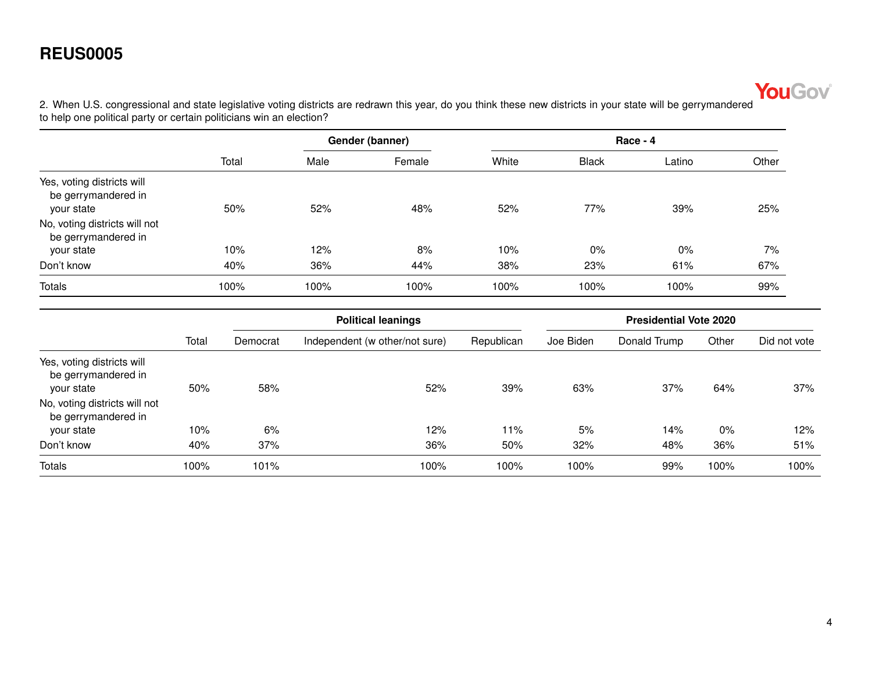

<span id="page-3-0"></span>2. When U.S. congressional and state legislative voting districts are redrawn this year, do you think these new districts in your state will be gerrymandered to help one political party or certain politicians win an election?

|                                                                 | Total | Gender (banner) |        |       | $Race - 4$   |        |       |  |  |
|-----------------------------------------------------------------|-------|-----------------|--------|-------|--------------|--------|-------|--|--|
|                                                                 |       | Male            | Female | White | <b>Black</b> | Latino | Other |  |  |
| Yes, voting districts will<br>be gerrymandered in<br>your state | 50%   | 52%             | 48%    | 52%   | 77%          | 39%    | 25%   |  |  |
| No, voting districts will not<br>be gerrymandered in            |       |                 |        |       |              |        |       |  |  |
| your state                                                      | 10%   | 12%             | 8%     | 10%   | 0%           | $0\%$  | 7%    |  |  |
| Don't know                                                      | 40%   | 36%             | 44%    | 38%   | 23%          | 61%    | 67%   |  |  |
| <b>Totals</b>                                                   | 100%  | 100%            | 100%   | 100%  | 100%         | 100%   | 99%   |  |  |

|                                                                 |       | <b>Political leanings</b> |                                |            | <b>Presidential Vote 2020</b> |              |       |              |  |
|-----------------------------------------------------------------|-------|---------------------------|--------------------------------|------------|-------------------------------|--------------|-------|--------------|--|
|                                                                 | Total | Democrat                  | Independent (w other/not sure) | Republican | Joe Biden                     | Donald Trump | Other | Did not vote |  |
| Yes, voting districts will<br>be gerrymandered in<br>your state | 50%   | 58%                       | 52%                            | 39%        | 63%                           | 37%          | 64%   | 37%          |  |
| No, voting districts will not<br>be gerrymandered in            |       |                           |                                |            |                               |              |       |              |  |
| your state                                                      | 10%   | 6%                        | 12%                            | 11%        | 5%                            | 14%          | $0\%$ | 12%          |  |
| Don't know                                                      | 40%   | 37%                       | 36%                            | 50%        | 32%                           | 48%          | 36%   | 51%          |  |
| <b>Totals</b>                                                   | 100%  | 101%                      | 100%                           | 100%       | 100%                          | 99%          | 100%  | 100%         |  |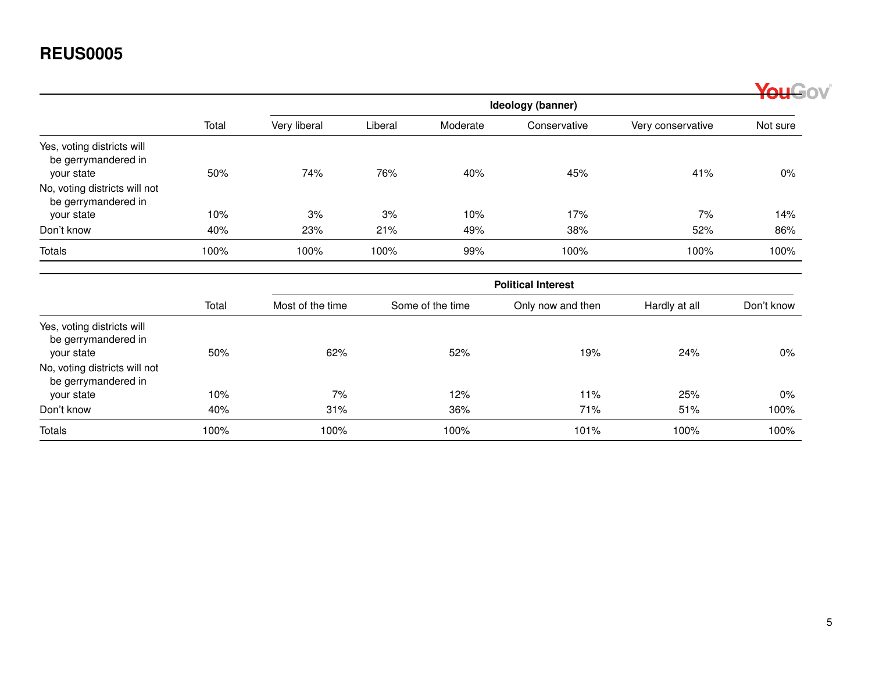|                                                                 |       |                           |         |                  |                   |                   | YouGov     |  |  |  |
|-----------------------------------------------------------------|-------|---------------------------|---------|------------------|-------------------|-------------------|------------|--|--|--|
|                                                                 |       |                           |         |                  | Ideology (banner) |                   |            |  |  |  |
|                                                                 | Total | Very liberal              | Liberal | Moderate         | Conservative      | Very conservative | Not sure   |  |  |  |
| Yes, voting districts will<br>be gerrymandered in               |       |                           |         |                  |                   |                   |            |  |  |  |
| your state                                                      | 50%   | 74%                       | 76%     | 40%              | 45%               | 41%               | 0%         |  |  |  |
| No, voting districts will not<br>be gerrymandered in            |       |                           |         |                  |                   |                   |            |  |  |  |
| your state                                                      | 10%   | 3%                        | 3%      | 10%              | 17%               | 7%                | 14%        |  |  |  |
| Don't know                                                      | 40%   | 23%                       | 21%     | 49%              | 38%               | 52%               | 86%        |  |  |  |
| Totals                                                          | 100%  | 100%                      | 100%    | 99%              | 100%              | 100%              | 100%       |  |  |  |
|                                                                 |       | <b>Political Interest</b> |         |                  |                   |                   |            |  |  |  |
|                                                                 | Total | Most of the time          |         | Some of the time | Only now and then | Hardly at all     | Don't know |  |  |  |
| Yes, voting districts will<br>be gerrymandered in<br>your state | 50%   | 62%                       |         | 52%              | 19%               | 24%               | 0%         |  |  |  |
| No, voting districts will not<br>be gerrymandered in            |       |                           |         |                  |                   |                   |            |  |  |  |
| your state                                                      | 10%   | 7%                        |         | 12%              | 11%               | 25%               | 0%         |  |  |  |
| Don't know                                                      | 40%   | 31%                       |         | 36%              | 71%               | 51%               | 100%       |  |  |  |
| Totals                                                          | 100%  | 100%                      |         | 100%             | 101%              | 100%              | 100%       |  |  |  |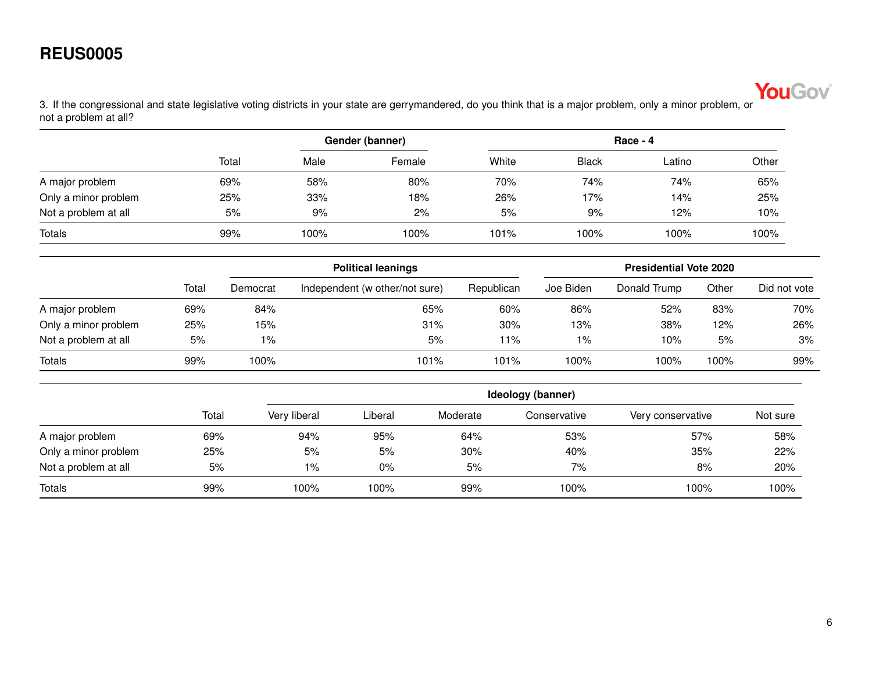

<span id="page-5-0"></span>3. If the congressional and state legislative voting districts in your state are gerrymandered, do you think that is a major problem, only a minor problem, or not a problem at all?

|                      |       |      | Gender (banner) | Race - 4 |              |        |       |  |
|----------------------|-------|------|-----------------|----------|--------------|--------|-------|--|
|                      | Total | Male | Female          | White    | <b>Black</b> | Latino | Other |  |
| A major problem      | 69%   | 58%  | 80%             | 70%      | 74%          | 74%    | 65%   |  |
| Only a minor problem | 25%   | 33%  | 18%             | 26%      | 17%          | 14%    | 25%   |  |
| Not a problem at all | 5%    | 9%   | 2%              | 5%       | 9%           | 12%    | 10%   |  |
| <b>Totals</b>        | 99%   | 100% | 100%            | 101%     | 100%         | 100%   | 100%  |  |

|                      |       |          | <b>Political leanings</b>      |            |           | <b>Presidential Vote 2020</b> |       |              |
|----------------------|-------|----------|--------------------------------|------------|-----------|-------------------------------|-------|--------------|
|                      | Total | Democrat | Independent (w other/not sure) | Republican | Joe Biden | Donald Trump                  | Other | Did not vote |
| A major problem      | 69%   | 84%      | 65%                            | 60%        | 86%       | 52%                           | 83%   | 70%          |
| Only a minor problem | 25%   | 15%      | 31%                            | 30%        | 13%       | 38%                           | 12%   | 26%          |
| Not a problem at all | 5%    | $1\%$    | 5%                             | 11%        | 1%        | 10%                           | 5%    | 3%           |
| Totals               | 99%   | 100%     | 101%                           | 101%       | 100%      | 100%                          | 100%  | 99%          |

|                      |       |              | Ideology (banner) |          |              |                   |          |  |  |
|----------------------|-------|--------------|-------------------|----------|--------------|-------------------|----------|--|--|
|                      | Total | Very liberal | Liberal           | Moderate | Conservative | Very conservative | Not sure |  |  |
| A major problem      | 69%   | 94%          | 95%               | 64%      | 53%          | 57%               | 58%      |  |  |
| Only a minor problem | 25%   | 5%           | 5%                | 30%      | 40%          | 35%               | 22%      |  |  |
| Not a problem at all | 5%    | $1\%$        | $0\%$             | 5%       | 7%           | 8%                | 20%      |  |  |
| <b>Totals</b>        | 99%   | 100%         | 100%              | 99%      | 100%         | 100%              | 100%     |  |  |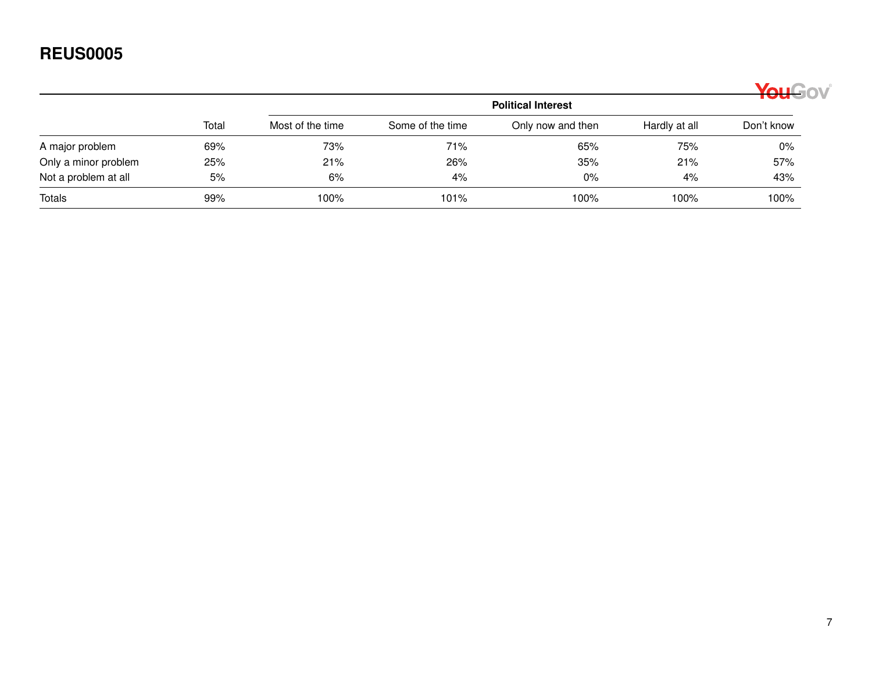|                      |       |                  |                  | <b>Political Interest</b> |               | YouGov     |
|----------------------|-------|------------------|------------------|---------------------------|---------------|------------|
|                      | Total | Most of the time | Some of the time | Only now and then         | Hardly at all | Don't know |
| A major problem      | 69%   | 73%              | 71%              | 65%                       | 75%           | $0\%$      |
| Only a minor problem | 25%   | 21%              | 26%              | 35%                       | 21%           | 57%        |
| Not a problem at all | 5%    | 6%               | 4%               | $0\%$                     | 4%            | 43%        |
| <b>Totals</b>        | 99%   | 100%             | 101%             | 100%                      | 100%          | 100%       |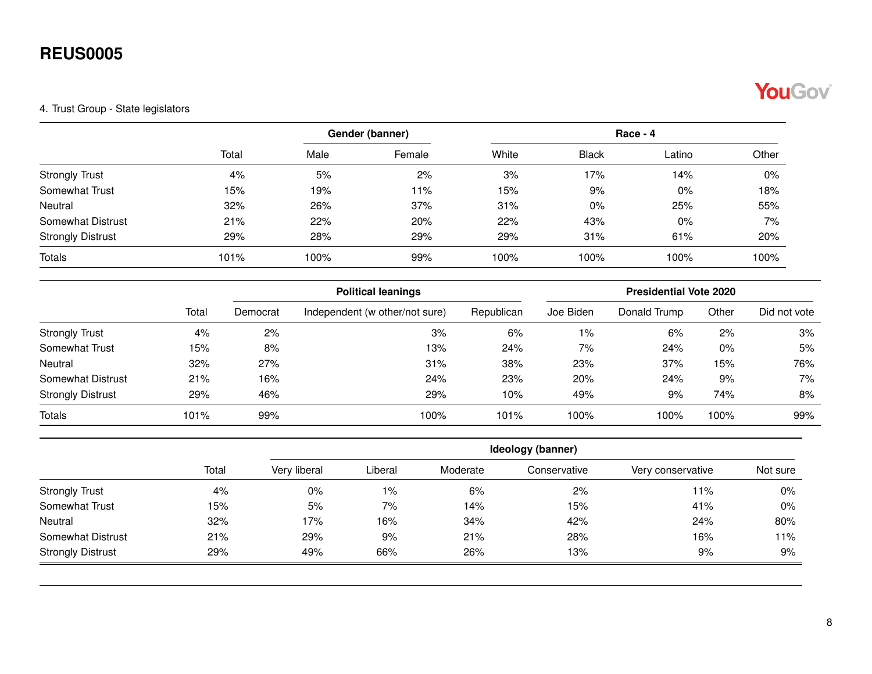# YouGov®

#### <span id="page-7-0"></span>4. Trust Group - State legislators

|                          |       |      | Gender (banner) |       | $Race - 4$   |        |       |  |
|--------------------------|-------|------|-----------------|-------|--------------|--------|-------|--|
|                          | Total | Male | Female          | White | <b>Black</b> | Latino | Other |  |
| <b>Strongly Trust</b>    | 4%    | 5%   | 2%              | 3%    | 17%          | 14%    | 0%    |  |
| Somewhat Trust           | 15%   | 19%  | 11%             | 15%   | 9%           | 0%     | 18%   |  |
| Neutral                  | 32%   | 26%  | 37%             | 31%   | $0\%$        | 25%    | 55%   |  |
| Somewhat Distrust        | 21%   | 22%  | 20%             | 22%   | 43%          | $0\%$  | 7%    |  |
| <b>Strongly Distrust</b> | 29%   | 28%  | 29%             | 29%   | 31%          | 61%    | 20%   |  |
| <b>Totals</b>            | 101%  | 100% | 99%             | 100%  | 100%         | 100%   | 100%  |  |

|                          | Total<br>4%<br>15%<br>32%<br>21%<br>29% |          | <b>Political leanings</b>      |            |           | <b>Presidential Vote 2020</b> |       |              |  |  |  |
|--------------------------|-----------------------------------------|----------|--------------------------------|------------|-----------|-------------------------------|-------|--------------|--|--|--|
|                          |                                         | Democrat | Independent (w other/not sure) | Republican | Joe Biden | Donald Trump                  | Other | Did not vote |  |  |  |
| <b>Strongly Trust</b>    |                                         | 2%       | 3%                             | 6%         | $1\%$     | 6%                            | 2%    | 3%           |  |  |  |
| Somewhat Trust           |                                         | 8%       | 13%                            | 24%        | 7%        | 24%                           | $0\%$ | 5%           |  |  |  |
| Neutral                  |                                         | 27%      | 31%                            | 38%        | 23%       | 37%                           | 15%   | 76%          |  |  |  |
| Somewhat Distrust        |                                         | 16%      | 24%                            | 23%        | 20%       | 24%                           | 9%    | 7%           |  |  |  |
| <b>Strongly Distrust</b> |                                         | 46%      | 29%                            | 10%        | 49%       | 9%                            | 74%   | 8%           |  |  |  |
| <b>Totals</b>            | 101%                                    | 99%      | 100%                           | 101%       | 100%      | 100%                          | 100%  | 99%          |  |  |  |

|                          |       | Ideology (banner) |         |          |              |                   |          |  |  |
|--------------------------|-------|-------------------|---------|----------|--------------|-------------------|----------|--|--|
|                          | Total | Very liberal      | Liberal | Moderate | Conservative | Very conservative | Not sure |  |  |
| <b>Strongly Trust</b>    | 4%    | $0\%$             | 1%      | 6%       | 2%           | 11%               | 0%       |  |  |
| Somewhat Trust           | 15%   | 5%                | 7%      | 14%      | 15%          | 41%               | 0%       |  |  |
| Neutral                  | 32%   | 17%               | 16%     | 34%      | 42%          | 24%               | 80%      |  |  |
| Somewhat Distrust        | 21%   | 29%               | 9%      | 21%      | 28%          | 16%               | 11%      |  |  |
| <b>Strongly Distrust</b> | 29%   | 49%               | 66%     | 26%      | 13%          | 9%                | 9%       |  |  |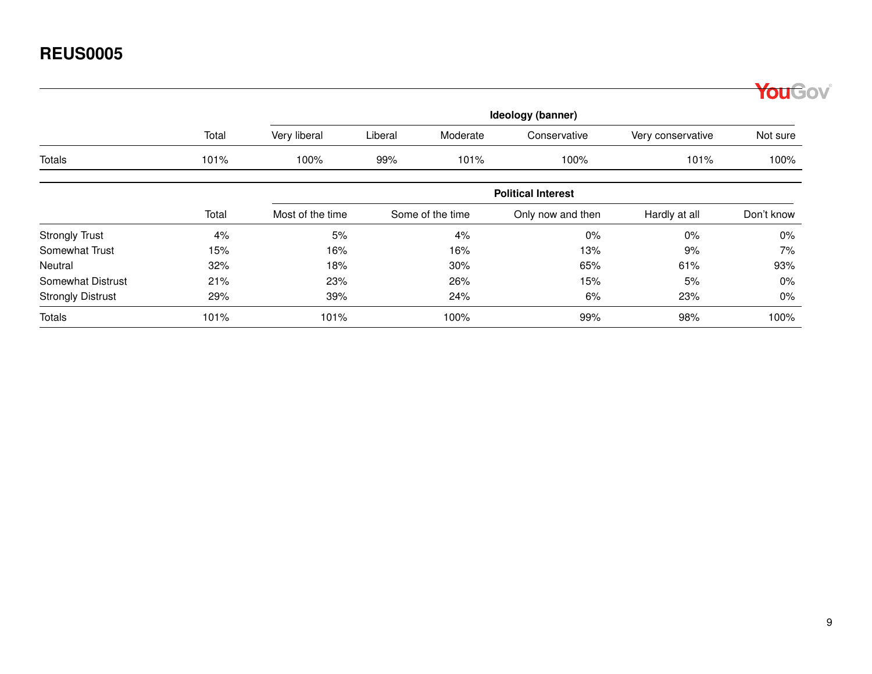|                          |       |                  |                   |                  |                           |                   | fou <sup>G</sup> ov |  |
|--------------------------|-------|------------------|-------------------|------------------|---------------------------|-------------------|---------------------|--|
|                          |       |                  | Ideology (banner) |                  |                           |                   |                     |  |
|                          | Total | Very liberal     | Liberal           | Moderate         | Conservative              | Very conservative | Not sure            |  |
| Totals                   | 101%  | 100%             | 99%               | 101%             | 100%                      | 101%              | 100%                |  |
|                          |       |                  |                   |                  | <b>Political Interest</b> |                   |                     |  |
|                          | Total | Most of the time |                   | Some of the time | Only now and then         | Hardly at all     | Don't know          |  |
| <b>Strongly Trust</b>    | 4%    | 5%               |                   | 4%               | 0%                        | 0%                | $0\%$               |  |
| Somewhat Trust           | 15%   | 16%              |                   | 16%              | 13%                       | 9%                | 7%                  |  |
| Neutral                  | 32%   | 18%              |                   | 30%              | 65%                       | 61%               | 93%                 |  |
| Somewhat Distrust        | 21%   | 23%              |                   | 26%              | 15%                       | 5%                | $0\%$               |  |
| <b>Strongly Distrust</b> | 29%   | 39%              |                   | 24%              | 6%                        | 23%               | $0\%$               |  |
| <b>Totals</b>            | 101%  | 101%             |                   | 100%             | 99%                       | 98%               | 100%                |  |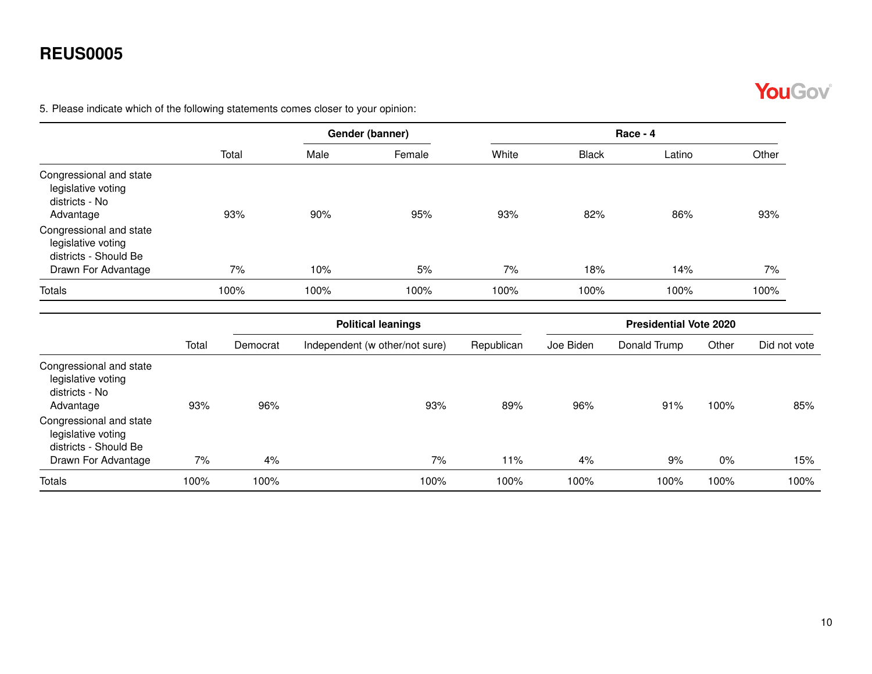

<span id="page-9-0"></span>5. Please indicate which of the following statements comes closer to your opinion:

|                                                                              |       |      | Gender (banner) |       | Race - 4     |        |       |
|------------------------------------------------------------------------------|-------|------|-----------------|-------|--------------|--------|-------|
|                                                                              | Total | Male | Female          | White | <b>Black</b> | Latino | Other |
| Congressional and state<br>legislative voting<br>districts - No<br>Advantage | 93%   | 90%  | 95%             | 93%   | 82%          | 86%    | 93%   |
| Congressional and state<br>legislative voting<br>districts - Should Be       |       |      |                 |       |              |        |       |
| Drawn For Advantage                                                          | 7%    | 10%  | 5%              | 7%    | 18%          | 14%    | 7%    |
| <b>Totals</b>                                                                | 100%  | 100% | 100%            | 100%  | 100%         | 100%   | 100%  |

|                                                                                                                                                        |       |          | <b>Political leanings</b>      |            |           | <b>Presidential Vote 2020</b> |       |              |
|--------------------------------------------------------------------------------------------------------------------------------------------------------|-------|----------|--------------------------------|------------|-----------|-------------------------------|-------|--------------|
|                                                                                                                                                        | Total | Democrat | Independent (w other/not sure) | Republican | Joe Biden | Donald Trump                  | Other | Did not vote |
| Congressional and state<br>legislative voting<br>districts - No<br>Advantage<br>Congressional and state<br>legislative voting<br>districts - Should Be | 93%   | 96%      | 93%                            | 89%        | 96%       | 91%                           | 100%  | 85%          |
| Drawn For Advantage                                                                                                                                    | 7%    | 4%       | 7%                             | 11%        | 4%        | 9%                            | $0\%$ | 15%          |
| <b>Totals</b>                                                                                                                                          | 100%  | 100%     | 100%                           | 100%       | 100%      | 100%                          | 100%  | 100%         |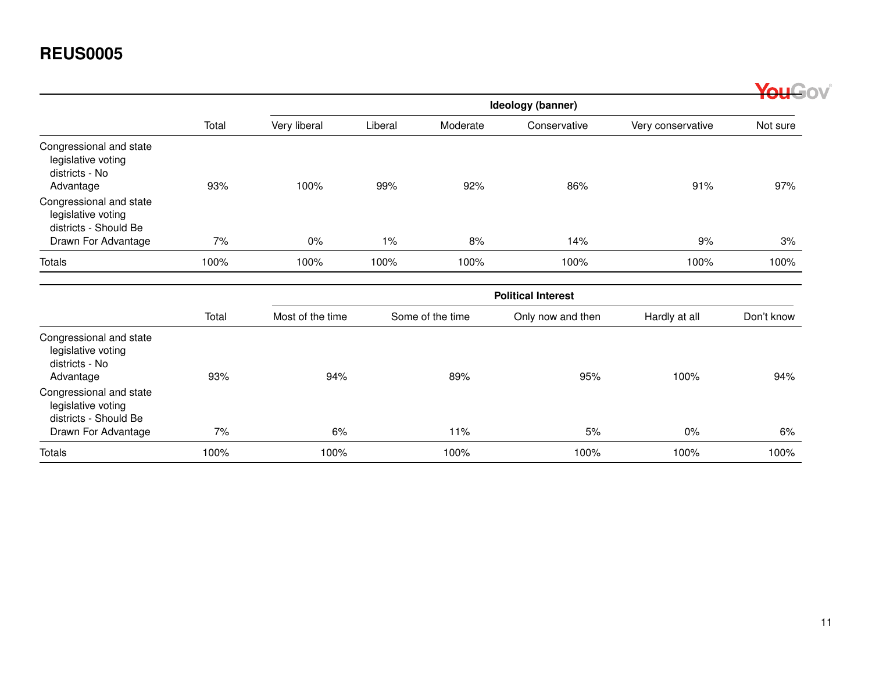|                                                                              |       |                  |         |                  |                           |                   | <b>VOLLGOV</b> |
|------------------------------------------------------------------------------|-------|------------------|---------|------------------|---------------------------|-------------------|----------------|
|                                                                              |       |                  |         |                  | Ideology (banner)         |                   |                |
|                                                                              | Total | Very liberal     | Liberal | Moderate         | Conservative              | Very conservative | Not sure       |
| Congressional and state<br>legislative voting<br>districts - No              |       |                  |         |                  |                           |                   |                |
| Advantage                                                                    | 93%   | 100%             | 99%     | 92%              | 86%                       | 91%               | 97%            |
| Congressional and state<br>legislative voting<br>districts - Should Be       |       |                  |         |                  |                           |                   |                |
| Drawn For Advantage                                                          | 7%    | 0%               | 1%      | 8%               | 14%                       | 9%                | 3%             |
| <b>Totals</b>                                                                | 100%  | 100%             | 100%    | 100%             | 100%                      | 100%              | 100%           |
|                                                                              |       |                  |         |                  | <b>Political Interest</b> |                   |                |
|                                                                              | Total | Most of the time |         | Some of the time | Only now and then         | Hardly at all     | Don't know     |
| Congressional and state<br>legislative voting<br>districts - No<br>Advantage | 93%   | 94%              |         | 89%              | 95%                       | 100%              | 94%            |
| Congressional and state<br>legislative voting<br>districts - Should Be       |       |                  |         |                  |                           |                   |                |
| Drawn For Advantage                                                          | 7%    | 6%               |         | 11%              | 5%                        | $0\%$             | 6%             |
| <b>Totals</b>                                                                | 100%  | 100%             |         | 100%             | 100%                      | 100%              | 100%           |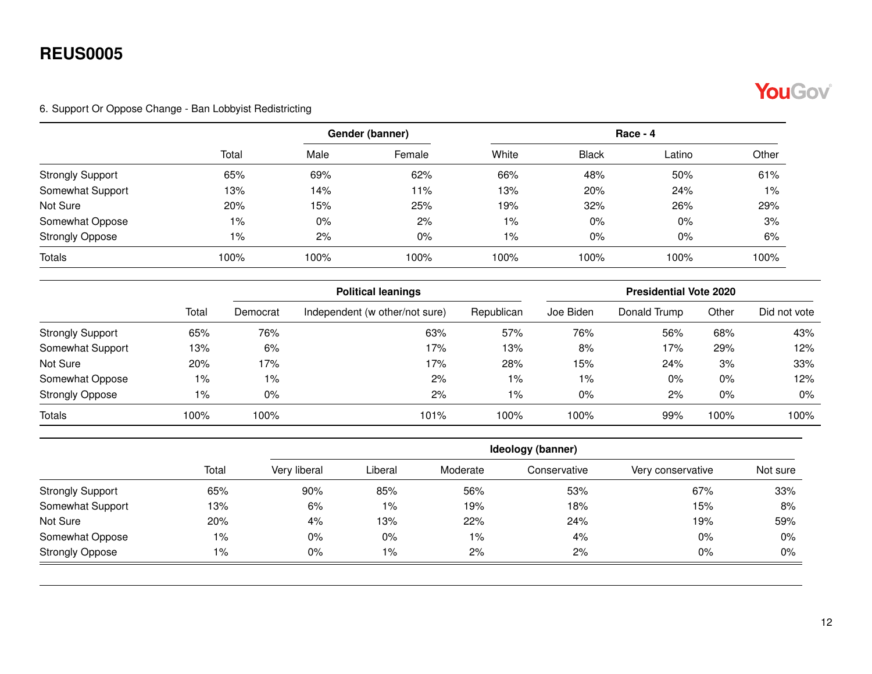

#### <span id="page-11-0"></span>6. Support Or Oppose Change - Ban Lobbyist Redistricting

|                         |       |       | Gender (banner) |       | $Race - 4$   |        |       |  |  |
|-------------------------|-------|-------|-----------------|-------|--------------|--------|-------|--|--|
|                         | Total | Male  | Female          | White | <b>Black</b> | Latino | Other |  |  |
| <b>Strongly Support</b> | 65%   | 69%   | 62%             | 66%   | 48%          | 50%    | 61%   |  |  |
| Somewhat Support        | 13%   | 14%   | 11%             | 13%   | 20%          | 24%    | $1\%$ |  |  |
| Not Sure                | 20%   | 15%   | 25%             | 19%   | 32%          | 26%    | 29%   |  |  |
| Somewhat Oppose         | $1\%$ | $0\%$ | 2%              | 1%    | $0\%$        | $0\%$  | 3%    |  |  |
| <b>Strongly Oppose</b>  | 1%    | 2%    | $0\%$           | 1%    | $0\%$        | 0%     | 6%    |  |  |
| <b>Totals</b>           | 100%  | 100%  | 100%            | 100%  | 100%         | 100%   | 100%  |  |  |

|                         |       |          | <b>Political leanings</b>      |            |           | <b>Presidential Vote 2020</b> |       |              |  |  |
|-------------------------|-------|----------|--------------------------------|------------|-----------|-------------------------------|-------|--------------|--|--|
|                         | Total | Democrat | Independent (w other/not sure) | Republican | Joe Biden | Donald Trump                  | Other | Did not vote |  |  |
| <b>Strongly Support</b> | 65%   | 76%      | 63%                            | 57%        | 76%       | 56%                           | 68%   | 43%          |  |  |
| Somewhat Support        | 13%   | 6%       | 17%                            | 13%        | 8%        | 17%                           | 29%   | 12%          |  |  |
| Not Sure                | 20%   | 17%      | 17%                            | 28%        | 15%       | 24%                           | 3%    | 33%          |  |  |
| Somewhat Oppose         | 1%    | 1%       | 2%                             | $1\%$      | $1\%$     | $0\%$                         | 0%    | 12%          |  |  |
| <b>Strongly Oppose</b>  | 1%    | 0%       | 2%                             | $1\%$      | $0\%$     | 2%                            | $0\%$ | $0\%$        |  |  |
| <b>Totals</b>           | 100%  | 100%     | 101%                           | 100%       | 100%      | 99%                           | 100%  | 100%         |  |  |

|                         |       |              | Ideology (banner) |          |              |                   |          |  |  |  |  |
|-------------------------|-------|--------------|-------------------|----------|--------------|-------------------|----------|--|--|--|--|
|                         | Total | Very liberal | Liberal           | Moderate | Conservative | Very conservative | Not sure |  |  |  |  |
| <b>Strongly Support</b> | 65%   | 90%          | 85%               | 56%      | 53%          | 67%               | 33%      |  |  |  |  |
| Somewhat Support        | 13%   | 6%           | 1%                | 19%      | 18%          | 15%               | 8%       |  |  |  |  |
| Not Sure                | 20%   | 4%           | 13%               | 22%      | 24%          | 19%               | 59%      |  |  |  |  |
| Somewhat Oppose         | 1%    | $0\%$        | $0\%$             | $1\%$    | 4%           | $0\%$             | $0\%$    |  |  |  |  |
| <b>Strongly Oppose</b>  | 1%    | $0\%$        | 1%                | 2%       | 2%           | $0\%$             | 0%       |  |  |  |  |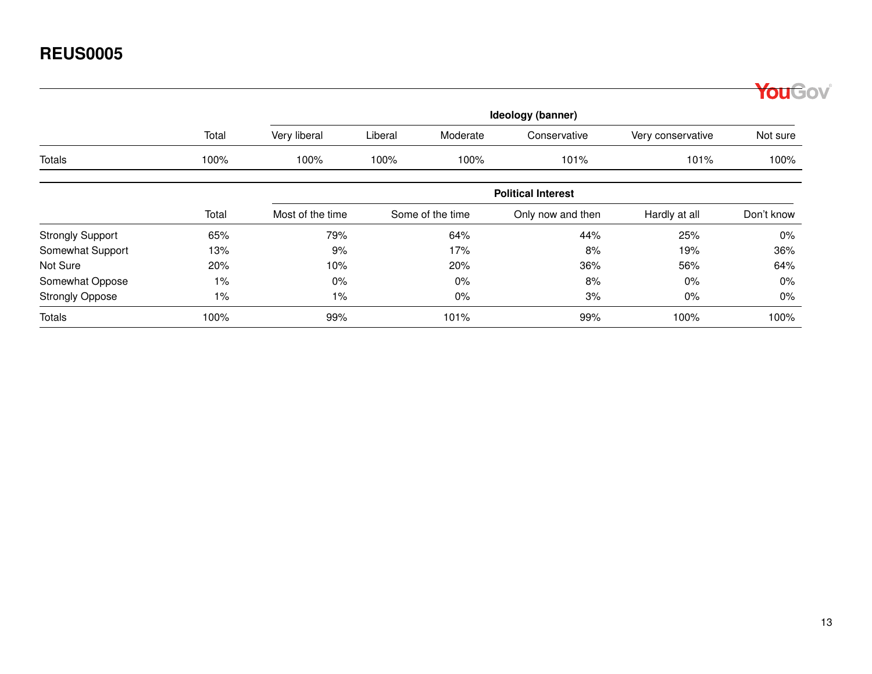|                         |                   |                  |         |                  |                           |                   | YouGov     |  |  |
|-------------------------|-------------------|------------------|---------|------------------|---------------------------|-------------------|------------|--|--|
|                         | Ideology (banner) |                  |         |                  |                           |                   |            |  |  |
|                         | Total             | Very liberal     | Liberal | Moderate         | Conservative              | Very conservative | Not sure   |  |  |
| Totals                  | 100%              | 100%             | 100%    | 100%             | 101%                      | 101%              | 100%       |  |  |
|                         |                   |                  |         |                  | <b>Political Interest</b> |                   |            |  |  |
|                         | Total             | Most of the time |         | Some of the time | Only now and then         | Hardly at all     | Don't know |  |  |
| <b>Strongly Support</b> | 65%               | 79%              |         | 64%              | 44%                       | 25%               | $0\%$      |  |  |
| Somewhat Support        | 13%               | 9%               |         | 17%              | 8%                        | 19%               | 36%        |  |  |
| Not Sure                | 20%               | 10%              |         | 20%              | 36%                       | 56%               | 64%        |  |  |
| Somewhat Oppose         | $1\%$             | $0\%$            |         | $0\%$            | 8%                        | $0\%$             | $0\%$      |  |  |
| <b>Strongly Oppose</b>  | $1\%$             | $1\%$            |         | $0\%$            | 3%                        | 0%                | $0\%$      |  |  |
| <b>Totals</b>           | 100%              | 99%              |         | 101%             | 99%                       | 100%              | 100%       |  |  |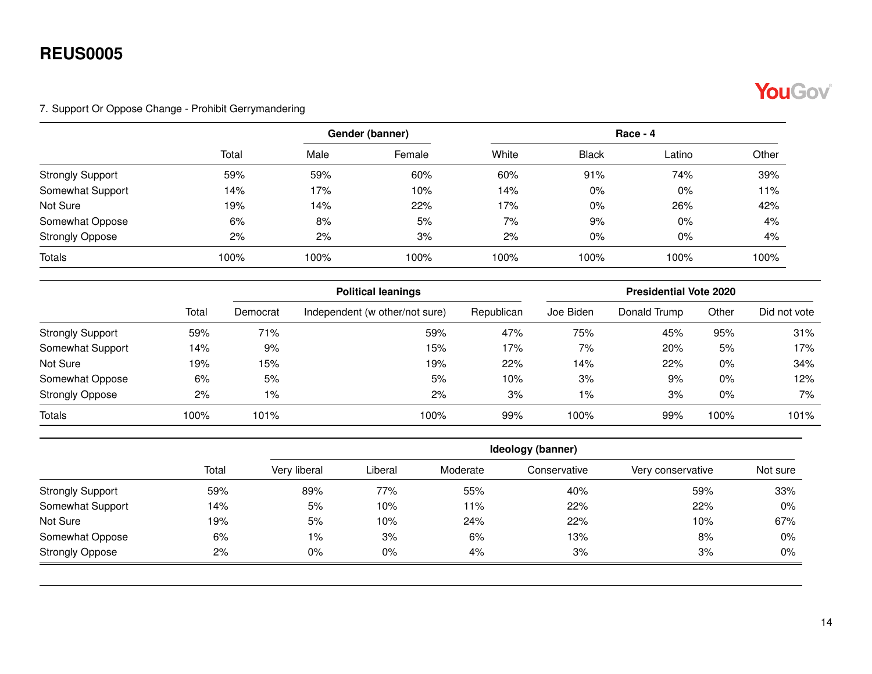

#### <span id="page-13-0"></span>7. Support Or Oppose Change - Prohibit Gerrymandering

|                         |       |      | Gender (banner) |       | $Race - 4$   |        |       |  |  |
|-------------------------|-------|------|-----------------|-------|--------------|--------|-------|--|--|
|                         | Total | Male | Female          | White | <b>Black</b> | Latino | Other |  |  |
| <b>Strongly Support</b> | 59%   | 59%  | 60%             | 60%   | 91%          | 74%    | 39%   |  |  |
| Somewhat Support        | 14%   | 17%  | 10%             | 14%   | $0\%$        | 0%     | 11%   |  |  |
| Not Sure                | 19%   | 14%  | 22%             | 17%   | $0\%$        | 26%    | 42%   |  |  |
| Somewhat Oppose         | 6%    | 8%   | 5%              | 7%    | 9%           | 0%     | 4%    |  |  |
| <b>Strongly Oppose</b>  | 2%    | 2%   | 3%              | 2%    | $0\%$        | 0%     | 4%    |  |  |
| <b>Totals</b>           | 100%  | 100% | 100%            | 100%  | 100%         | 100%   | 100%  |  |  |

|                         |       |          | <b>Political leanings</b>      | <b>Presidential Vote 2020</b> |           |              |       |              |
|-------------------------|-------|----------|--------------------------------|-------------------------------|-----------|--------------|-------|--------------|
|                         | Total | Democrat | Independent (w other/not sure) | Republican                    | Joe Biden | Donald Trump | Other | Did not vote |
| <b>Strongly Support</b> | 59%   | 71%      | 59%                            | 47%                           | 75%       | 45%          | 95%   | 31%          |
| Somewhat Support        | 14%   | 9%       | 15%                            | 17%                           | 7%        | 20%          | 5%    | 17%          |
| Not Sure                | 19%   | 15%      | 19%                            | 22%                           | 14%       | 22%          | $0\%$ | 34%          |
| Somewhat Oppose         | 6%    | 5%       | 5%                             | 10%                           | 3%        | 9%           | $0\%$ | 12%          |
| <b>Strongly Oppose</b>  | 2%    | 1%       | 2%                             | 3%                            | $1\%$     | 3%           | $0\%$ | 7%           |
| Totals                  | 100%  | 101%     | 100%                           | 99%                           | 100%      | 99%          | 100%  | 101%         |

|                         |       | Ideology (banner) |         |          |              |                   |          |  |  |  |
|-------------------------|-------|-------------------|---------|----------|--------------|-------------------|----------|--|--|--|
|                         | Total | Very liberal      | Liberal | Moderate | Conservative | Very conservative | Not sure |  |  |  |
| <b>Strongly Support</b> | 59%   | 89%               | 77%     | 55%      | 40%          | 59%               | 33%      |  |  |  |
| Somewhat Support        | 14%   | 5%                | 10%     | 11%      | 22%          | 22%               | $0\%$    |  |  |  |
| Not Sure                | 19%   | 5%                | 10%     | 24%      | 22%          | 10%               | 67%      |  |  |  |
| Somewhat Oppose         | 6%    | $1\%$             | 3%      | 6%       | 13%          | 8%                | $0\%$    |  |  |  |
| <b>Strongly Oppose</b>  | 2%    | $0\%$             | 0%      | 4%       | 3%           | 3%                | $0\%$    |  |  |  |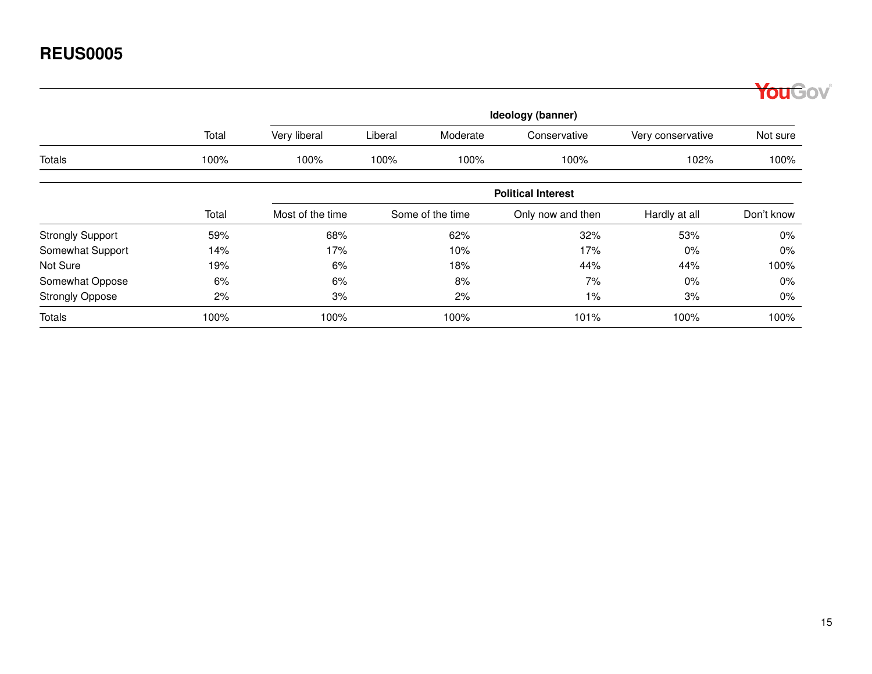|                         |       |                  |                           |                  |                   |                   | <b>ouGov</b> |  |  |  |  |  |
|-------------------------|-------|------------------|---------------------------|------------------|-------------------|-------------------|--------------|--|--|--|--|--|
|                         |       |                  |                           |                  | Ideology (banner) |                   |              |  |  |  |  |  |
|                         | Total | Very liberal     | Liberal                   | Moderate         | Conservative      | Very conservative | Not sure     |  |  |  |  |  |
| <b>Totals</b>           | 100%  | 100%             | 100%                      | 100%             | 100%              | 102%              | 100%         |  |  |  |  |  |
|                         |       |                  | <b>Political Interest</b> |                  |                   |                   |              |  |  |  |  |  |
|                         | Total | Most of the time |                           | Some of the time | Only now and then | Hardly at all     | Don't know   |  |  |  |  |  |
| <b>Strongly Support</b> | 59%   | 68%              |                           | 62%              | 32%               | 53%               | 0%           |  |  |  |  |  |
| Somewhat Support        | 14%   | 17%              |                           | 10%              | 17%               | $0\%$             | 0%           |  |  |  |  |  |
| Not Sure                | 19%   | 6%               |                           | 18%              | 44%               | 44%               | 100%         |  |  |  |  |  |
| Somewhat Oppose         | 6%    | 6%               |                           | 8%               | 7%                | $0\%$             | 0%           |  |  |  |  |  |
| <b>Strongly Oppose</b>  | 2%    | 3%               |                           | 2%               | 1%                | 3%                | $0\%$        |  |  |  |  |  |
| <b>Totals</b>           | 100%  | 100%             |                           | 100%             | 101%              | 100%              | 100%         |  |  |  |  |  |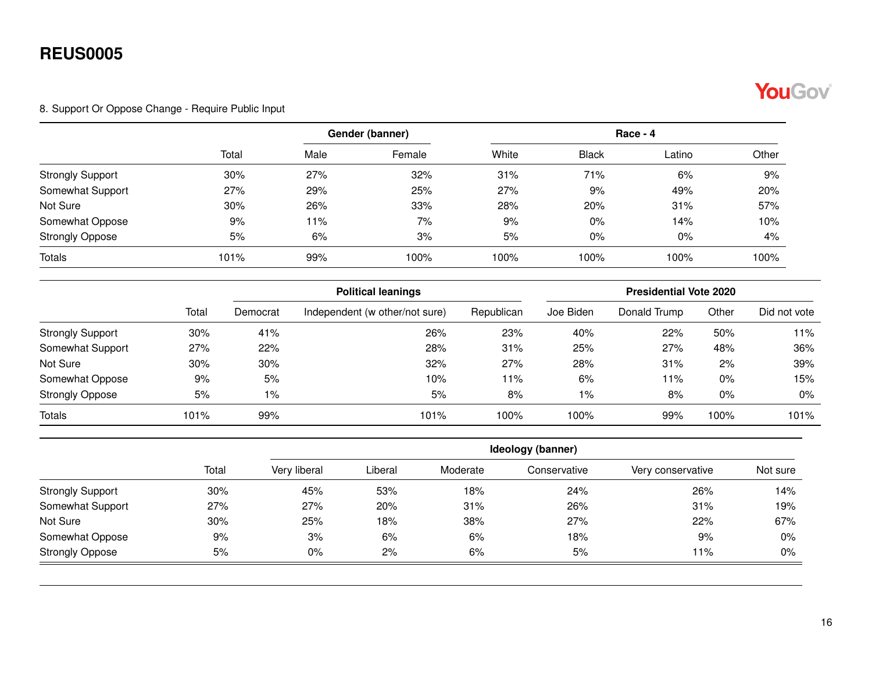

#### <span id="page-15-0"></span>8. Support Or Oppose Change - Require Public Input

|                         |       |      | Gender (banner) | $Race - 4$ |              |        |       |  |
|-------------------------|-------|------|-----------------|------------|--------------|--------|-------|--|
|                         | Total | Male | Female          | White      | <b>Black</b> | Latino | Other |  |
| <b>Strongly Support</b> | 30%   | 27%  | 32%             | 31%        | 71%          | 6%     | 9%    |  |
| Somewhat Support        | 27%   | 29%  | 25%             | 27%        | 9%           | 49%    | 20%   |  |
| Not Sure                | 30%   | 26%  | 33%             | 28%        | 20%          | 31%    | 57%   |  |
| Somewhat Oppose         | 9%    | 11%  | 7%              | 9%         | $0\%$        | 14%    | 10%   |  |
| <b>Strongly Oppose</b>  | 5%    | 6%   | 3%              | 5%         | $0\%$        | 0%     | 4%    |  |
| <b>Totals</b>           | 101%  | 99%  | 100%            | 100%       | 100%         | 100%   | 100%  |  |

|                         |       |          | <b>Political leanings</b>      | <b>Presidential Vote 2020</b> |           |              |       |              |
|-------------------------|-------|----------|--------------------------------|-------------------------------|-----------|--------------|-------|--------------|
|                         | Total | Democrat | Independent (w other/not sure) | Republican                    | Joe Biden | Donald Trump | Other | Did not vote |
| <b>Strongly Support</b> | 30%   | 41%      | 26%                            | 23%                           | 40%       | 22%          | 50%   | 11%          |
| Somewhat Support        | 27%   | 22%      | 28%                            | 31%                           | 25%       | 27%          | 48%   | 36%          |
| Not Sure                | 30%   | 30%      | 32%                            | 27%                           | 28%       | 31%          | 2%    | 39%          |
| Somewhat Oppose         | 9%    | 5%       | 10%                            | 11%                           | 6%        | 11%          | 0%    | 15%          |
| <b>Strongly Oppose</b>  | 5%    | 1%       | 5%                             | 8%                            | $1\%$     | 8%           | 0%    | $0\%$        |
| Totals                  | 101%  | 99%      | 101%                           | 100%                          | 100%      | 99%          | 100%  | 101%         |

|                         |       | Ideology (banner) |         |          |              |                   |          |  |  |  |
|-------------------------|-------|-------------------|---------|----------|--------------|-------------------|----------|--|--|--|
|                         | Total | Very liberal      | Liberal | Moderate | Conservative | Very conservative | Not sure |  |  |  |
| <b>Strongly Support</b> | 30%   | 45%               | 53%     | 18%      | 24%          | 26%               | 14%      |  |  |  |
| Somewhat Support        | 27%   | 27%               | 20%     | 31%      | 26%          | 31%               | 19%      |  |  |  |
| Not Sure                | 30%   | 25%               | 18%     | 38%      | 27%          | 22%               | 67%      |  |  |  |
| Somewhat Oppose         | 9%    | 3%                | 6%      | 6%       | 18%          | 9%                | $0\%$    |  |  |  |
| <b>Strongly Oppose</b>  | 5%    | $0\%$             | 2%      | 6%       | 5%           | 11%               | 0%       |  |  |  |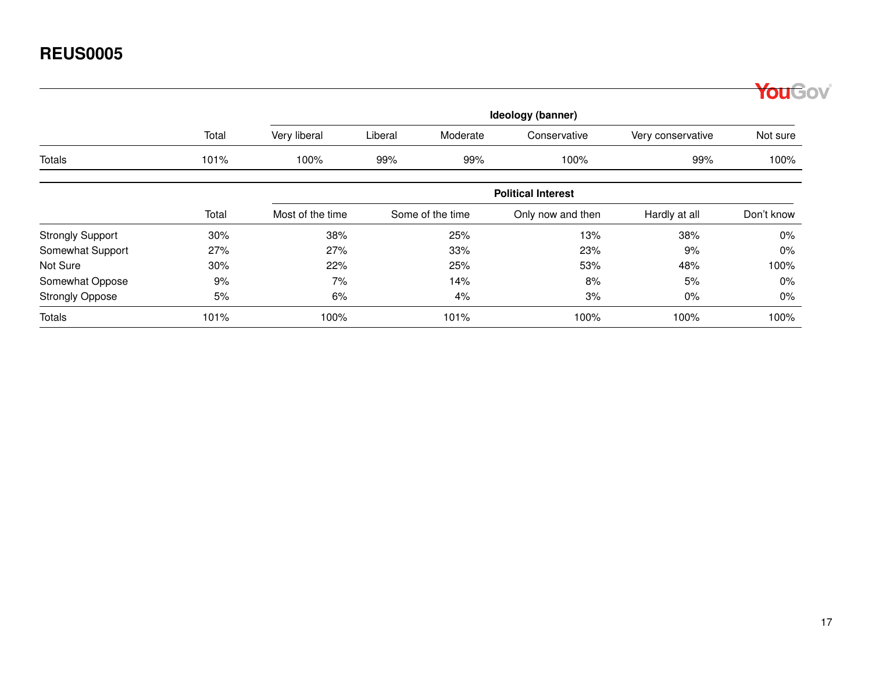|                         |       |                  |                           |                  |                   |                   | <b>ouGov</b> |  |  |  |  |  |
|-------------------------|-------|------------------|---------------------------|------------------|-------------------|-------------------|--------------|--|--|--|--|--|
|                         |       |                  |                           |                  | Ideology (banner) |                   |              |  |  |  |  |  |
|                         | Total | Very liberal     | Liberal                   | Moderate         | Conservative      | Very conservative | Not sure     |  |  |  |  |  |
| Totals                  | 101%  | 100%             | 99%                       | 99%              | 100%              | 99%               | 100%         |  |  |  |  |  |
|                         |       |                  | <b>Political Interest</b> |                  |                   |                   |              |  |  |  |  |  |
|                         | Total | Most of the time |                           | Some of the time | Only now and then | Hardly at all     | Don't know   |  |  |  |  |  |
| <b>Strongly Support</b> | 30%   | 38%              |                           | 25%              | 13%               | 38%               | $0\%$        |  |  |  |  |  |
| Somewhat Support        | 27%   | 27%              |                           | 33%              | 23%               | 9%                | $0\%$        |  |  |  |  |  |
| Not Sure                | 30%   | 22%              |                           | 25%              | 53%               | 48%               | 100%         |  |  |  |  |  |
| Somewhat Oppose         | 9%    | 7%               |                           | 14%              | 8%                | 5%                | $0\%$        |  |  |  |  |  |
| <b>Strongly Oppose</b>  | 5%    | 6%               |                           | 4%               | 3%                | $0\%$             | $0\%$        |  |  |  |  |  |
| <b>Totals</b>           | 101%  | 100%             |                           | 101%             | 100%              | 100%              | 100%         |  |  |  |  |  |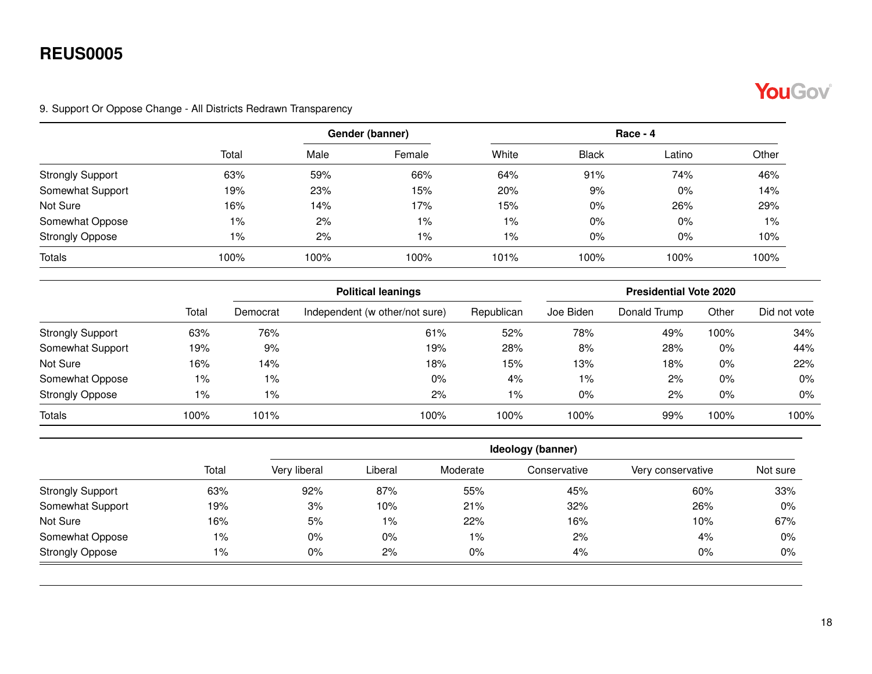

#### <span id="page-17-0"></span>9. Support Or Oppose Change - All Districts Redrawn Transparency

|                         |       |      | Gender (banner) |       | Race - 4     |        |       |  |
|-------------------------|-------|------|-----------------|-------|--------------|--------|-------|--|
|                         | Total | Male | Female          | White | <b>Black</b> | ∟atino | Other |  |
| <b>Strongly Support</b> | 63%   | 59%  | 66%             | 64%   | 91%          | 74%    | 46%   |  |
| Somewhat Support        | 19%   | 23%  | 15%             | 20%   | 9%           | 0%     | 14%   |  |
| Not Sure                | 16%   | 14%  | 17%             | 15%   | $0\%$        | 26%    | 29%   |  |
| Somewhat Oppose         | $1\%$ | 2%   | $1\%$           | $1\%$ | $0\%$        | 0%     | 1%    |  |
| <b>Strongly Oppose</b>  | $1\%$ | 2%   | 1%              | 1%    | $0\%$        | 0%     | 10%   |  |
| <b>Totals</b>           | 100%  | 100% | 100%            | 101%  | 100%         | 100%   | 100%  |  |

|                         |       |          | <b>Political leanings</b>      |            |           | <b>Presidential Vote 2020</b> |       |              |
|-------------------------|-------|----------|--------------------------------|------------|-----------|-------------------------------|-------|--------------|
|                         | Total | Democrat | Independent (w other/not sure) | Republican | Joe Biden | Donald Trump                  | Other | Did not vote |
| <b>Strongly Support</b> | 63%   | 76%      | 61%                            | 52%        | 78%       | 49%                           | 100%  | 34%          |
| Somewhat Support        | 19%   | 9%       | 19%                            | 28%        | 8%        | 28%                           | 0%    | 44%          |
| Not Sure                | 16%   | 14%      | 18%                            | 15%        | 13%       | 18%                           | $0\%$ | 22%          |
| Somewhat Oppose         | 1%    | 1%       | $0\%$                          | 4%         | $1\%$     | 2%                            | 0%    | $0\%$        |
| <b>Strongly Oppose</b>  | 1%    | $1\%$    | 2%                             | 1%         | $0\%$     | 2%                            | 0%    | $0\%$        |
| <b>Totals</b>           | 100%  | 101%     | 100%                           | 100%       | 100%      | 99%                           | 100%  | 100%         |

|                         |       | Ideology (banner) |         |          |              |                   |          |  |  |  |
|-------------------------|-------|-------------------|---------|----------|--------------|-------------------|----------|--|--|--|
|                         | Total | Very liberal      | Liberal | Moderate | Conservative | Very conservative | Not sure |  |  |  |
| <b>Strongly Support</b> | 63%   | 92%               | 87%     | 55%      | 45%          | 60%               | 33%      |  |  |  |
| Somewhat Support        | 19%   | 3%                | 10%     | 21%      | 32%          | 26%               | 0%       |  |  |  |
| Not Sure                | 16%   | 5%                | $1\%$   | 22%      | 16%          | 10%               | 67%      |  |  |  |
| Somewhat Oppose         | $1\%$ | $0\%$             | 0%      | $1\%$    | 2%           | 4%                | 0%       |  |  |  |
| <b>Strongly Oppose</b>  | 1%    | $0\%$             | 2%      | 0%       | 4%           | 0%                | 0%       |  |  |  |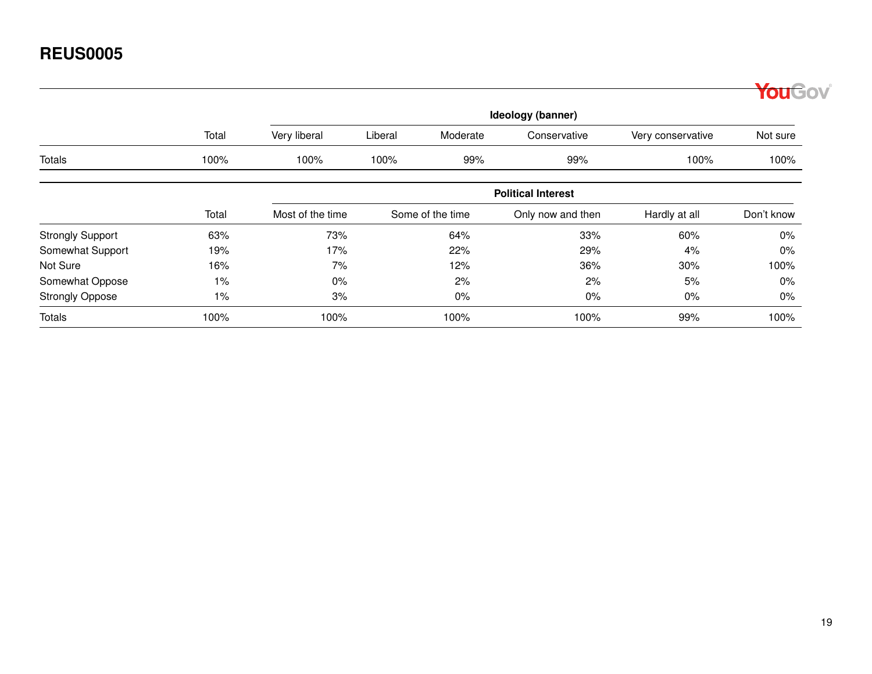|                         |                   |                  |                           |                  |                   |                   | YouGov     |  |  |  |  |  |
|-------------------------|-------------------|------------------|---------------------------|------------------|-------------------|-------------------|------------|--|--|--|--|--|
|                         | Ideology (banner) |                  |                           |                  |                   |                   |            |  |  |  |  |  |
|                         | Total             | Very liberal     | Liberal                   | Moderate         | Conservative      | Very conservative | Not sure   |  |  |  |  |  |
| <b>Totals</b>           | 100%              | 100%             | 100%                      | 99%              | 99%               | 100%              | 100%       |  |  |  |  |  |
|                         |                   |                  | <b>Political Interest</b> |                  |                   |                   |            |  |  |  |  |  |
|                         | Total             | Most of the time |                           | Some of the time | Only now and then | Hardly at all     | Don't know |  |  |  |  |  |
| <b>Strongly Support</b> | 63%               | 73%              |                           | 64%              | 33%               | 60%               | $0\%$      |  |  |  |  |  |
| Somewhat Support        | 19%               | 17%              |                           | 22%              | 29%               | 4%                | $0\%$      |  |  |  |  |  |
| Not Sure                | 16%               | 7%               |                           | 12%              | 36%               | 30%               | 100%       |  |  |  |  |  |
| Somewhat Oppose         | $1\%$             | $0\%$            |                           | 2%               | 2%                | 5%                | $0\%$      |  |  |  |  |  |
| <b>Strongly Oppose</b>  | $1\%$             | 3%               |                           | 0%               | $0\%$             | $0\%$             | $0\%$      |  |  |  |  |  |
| <b>Totals</b>           | 100%              | 100%             |                           | 100%             | 100%              | 99%               | 100%       |  |  |  |  |  |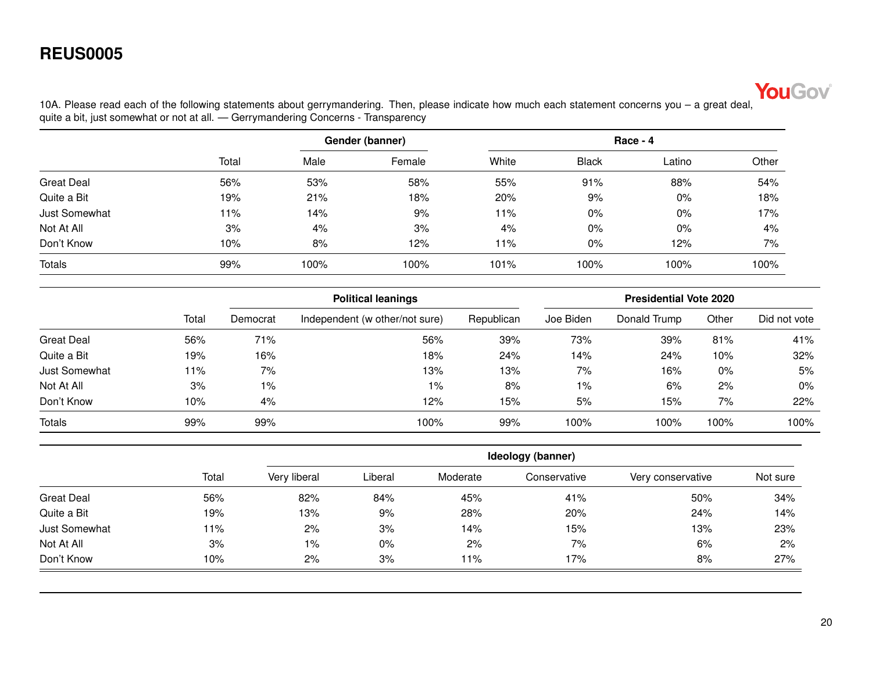

<span id="page-19-0"></span>10A. Please read each of the following statements about gerrymandering. Then, please indicate how much each statement concerns you – a great deal, quite a bit, just somewhat or not at all. — Gerrymandering Concerns - Transparency

|                   |       |      | Gender (banner) | $Race - 4$ |              |        |       |  |
|-------------------|-------|------|-----------------|------------|--------------|--------|-------|--|
|                   | Total | Male | Female          | White      | <b>Black</b> | Latino | Other |  |
| <b>Great Deal</b> | 56%   | 53%  | 58%             | 55%        | 91%          | 88%    | 54%   |  |
| Quite a Bit       | 19%   | 21%  | 18%             | 20%        | 9%           | $0\%$  | 18%   |  |
| Just Somewhat     | 11%   | 14%  | 9%              | 11%        | 0%           | $0\%$  | 17%   |  |
| Not At All        | 3%    | 4%   | 3%              | 4%         | 0%           | $0\%$  | 4%    |  |
| Don't Know        | 10%   | 8%   | 12%             | 11%        | 0%           | 12%    | 7%    |  |
| <b>Totals</b>     | 99%   | 100% | 100%            | 101%       | 100%         | 100%   | 100%  |  |

|                   |       |          | <b>Political leanings</b>      |            |           | <b>Presidential Vote 2020</b> |       |              |  |  |
|-------------------|-------|----------|--------------------------------|------------|-----------|-------------------------------|-------|--------------|--|--|
|                   | Total | Democrat | Independent (w other/not sure) | Republican | Joe Biden | Donald Trump                  | Other | Did not vote |  |  |
| <b>Great Deal</b> | 56%   | 71%      | 56%                            | 39%        | 73%       | 39%                           | 81%   | 41%          |  |  |
| Quite a Bit       | 19%   | 16%      | 18%                            | 24%        | 14%       | 24%                           | 10%   | 32%          |  |  |
| Just Somewhat     | 11%   | 7%       | 13%                            | 13%        | 7%        | 16%                           | 0%    | 5%           |  |  |
| Not At All        | 3%    | $1\%$    | $1\%$                          | 8%         | $1\%$     | 6%                            | 2%    | $0\%$        |  |  |
| Don't Know        | 10%   | 4%       | 12%                            | 15%        | 5%        | 15%                           | 7%    | 22%          |  |  |
| <b>Totals</b>     | 99%   | 99%      | 100%                           | 99%        | 100%      | 100%                          | 100%  | 100%         |  |  |

|                   |       |              | Ideology (banner) |          |              |                   |          |  |  |  |  |
|-------------------|-------|--------------|-------------------|----------|--------------|-------------------|----------|--|--|--|--|
|                   | Total | Very liberal | Liberal           | Moderate | Conservative | Very conservative | Not sure |  |  |  |  |
| <b>Great Deal</b> | 56%   | 82%          | 84%               | 45%      | 41%          | 50%               | 34%      |  |  |  |  |
| Quite a Bit       | 19%   | 13%          | 9%                | 28%      | 20%          | 24%               | 14%      |  |  |  |  |
| Just Somewhat     | 11%   | 2%           | 3%                | 14%      | 15%          | 13%               | 23%      |  |  |  |  |
| Not At All        | 3%    | 1%           | $0\%$             | 2%       | 7%           | 6%                | 2%       |  |  |  |  |
| Don't Know        | 10%   | 2%           | 3%                | 11%      | 17%          | 8%                | 27%      |  |  |  |  |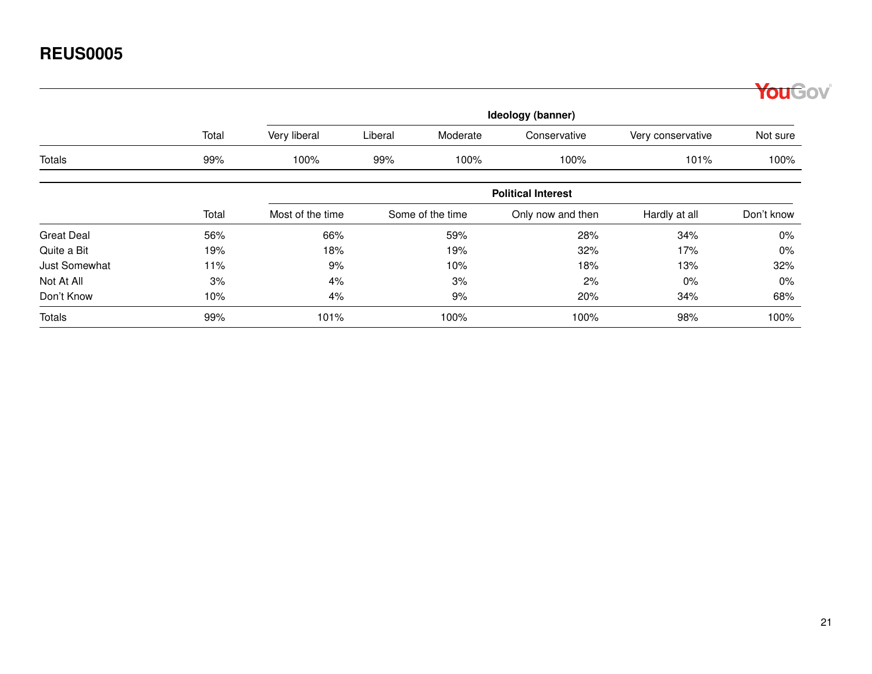|                      |       |                           |         |                  |                   |                   | <b>ouGov</b> |  |  |  |  |  |
|----------------------|-------|---------------------------|---------|------------------|-------------------|-------------------|--------------|--|--|--|--|--|
|                      |       |                           |         |                  | Ideology (banner) |                   |              |  |  |  |  |  |
|                      | Total | Very liberal              | Liberal | Moderate         | Conservative      | Very conservative | Not sure     |  |  |  |  |  |
| <b>Totals</b>        | 99%   | 100%                      | 99%     | 100%             | 100%              | 101%              | 100%         |  |  |  |  |  |
|                      |       | <b>Political Interest</b> |         |                  |                   |                   |              |  |  |  |  |  |
|                      | Total | Most of the time          |         | Some of the time | Only now and then | Hardly at all     | Don't know   |  |  |  |  |  |
| <b>Great Deal</b>    | 56%   | 66%                       |         | 59%              | 28%               | 34%               | 0%           |  |  |  |  |  |
| Quite a Bit          | 19%   | 18%                       |         | 19%              | 32%               | 17%               | 0%           |  |  |  |  |  |
| <b>Just Somewhat</b> | 11%   | 9%                        |         | 10%              | 18%               | 13%               | 32%          |  |  |  |  |  |
| Not At All           | 3%    | 4%                        |         | 3%               | 2%                | $0\%$             | $0\%$        |  |  |  |  |  |
| Don't Know           | 10%   | 4%                        |         | 9%               | 20%               | 34%               | 68%          |  |  |  |  |  |
| <b>Totals</b>        | 99%   | 101%                      |         | 100%             | 100%              | 98%               | 100%         |  |  |  |  |  |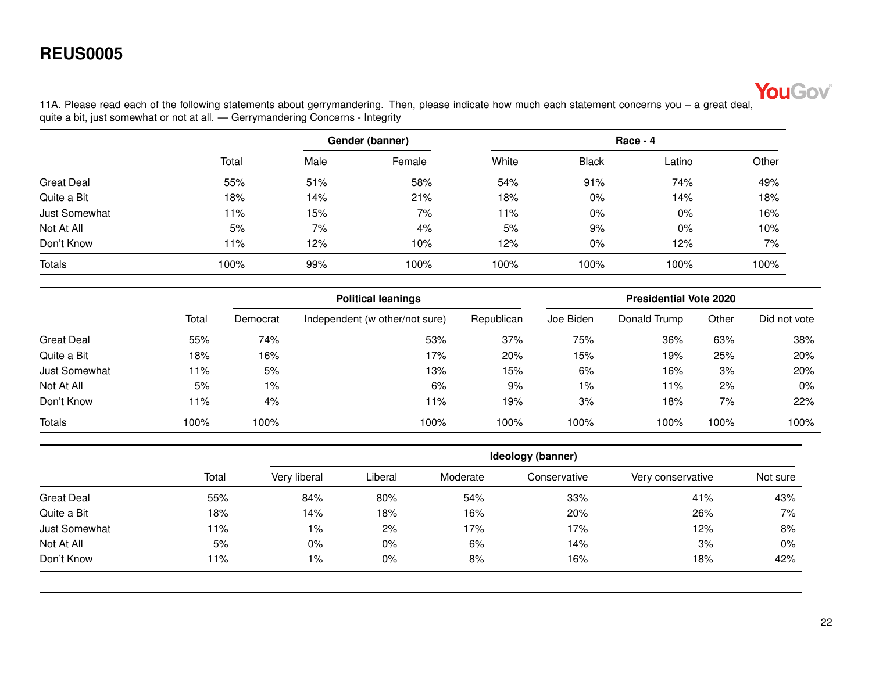

<span id="page-21-0"></span>11A. Please read each of the following statements about gerrymandering. Then, please indicate how much each statement concerns you – a great deal, quite a bit, just somewhat or not at all. — Gerrymandering Concerns - Integrity

|                      |       |      | Gender (banner) | Race - 4 |              |        |       |  |
|----------------------|-------|------|-----------------|----------|--------------|--------|-------|--|
|                      | Total | Male | Female          | White    | <b>Black</b> | Latino | Other |  |
| <b>Great Deal</b>    | 55%   | 51%  | 58%             | 54%      | 91%          | 74%    | 49%   |  |
| Quite a Bit          | 18%   | 14%  | 21%             | 18%      | 0%           | 14%    | 18%   |  |
| <b>Just Somewhat</b> | 11%   | 15%  | 7%              | 11%      | 0%           | $0\%$  | 16%   |  |
| Not At All           | 5%    | 7%   | 4%              | 5%       | 9%           | $0\%$  | 10%   |  |
| Don't Know           | l 1%  | 12%  | 10%             | 12%      | 0%           | 12%    | 7%    |  |
| <b>Totals</b>        | 100%  | 99%  | 100%            | 100%     | 100%         | 100%   | 100%  |  |

|                      |       | <b>Political leanings</b> |                                |            | <b>Presidential Vote 2020</b> |              |       |              |  |
|----------------------|-------|---------------------------|--------------------------------|------------|-------------------------------|--------------|-------|--------------|--|
|                      | Total | Democrat                  | Independent (w other/not sure) | Republican | Joe Biden                     | Donald Trump | Other | Did not vote |  |
| <b>Great Deal</b>    | 55%   | 74%                       | 53%                            | 37%        | 75%                           | 36%          | 63%   | 38%          |  |
| Quite a Bit          | 18%   | 16%                       | 17%                            | 20%        | 15%                           | 19%          | 25%   | 20%          |  |
| <b>Just Somewhat</b> | 11%   | 5%                        | 13%                            | 15%        | 6%                            | 16%          | 3%    | 20%          |  |
| Not At All           | 5%    | $1\%$                     | 6%                             | 9%         | 1%                            | 11%          | 2%    | $0\%$        |  |
| Don't Know           | 11%   | 4%                        | 11%                            | 19%        | 3%                            | 18%          | 7%    | 22%          |  |
| <b>Totals</b>        | 100%  | 100%                      | 100%                           | 100%       | 100%                          | 100%         | 100%  | 100%         |  |

|                   |       |              | Ideology (banner) |          |              |                   |          |  |  |  |  |
|-------------------|-------|--------------|-------------------|----------|--------------|-------------------|----------|--|--|--|--|
|                   | Total | Very liberal | Liberal           | Moderate | Conservative | Very conservative | Not sure |  |  |  |  |
| <b>Great Deal</b> | 55%   | 84%          | 80%               | 54%      | 33%          | 41%               | 43%      |  |  |  |  |
| Quite a Bit       | 18%   | 14%          | 18%               | 16%      | 20%          | 26%               | 7%       |  |  |  |  |
| Just Somewhat     | 11%   | $1\%$        | 2%                | 17%      | 17%          | 12%               | 8%       |  |  |  |  |
| Not At All        | 5%    | $0\%$        | 0%                | 6%       | 14%          | 3%                | 0%       |  |  |  |  |
| Don't Know        | 11%   | $1\%$        | 0%                | 8%       | 16%          | 18%               | 42%      |  |  |  |  |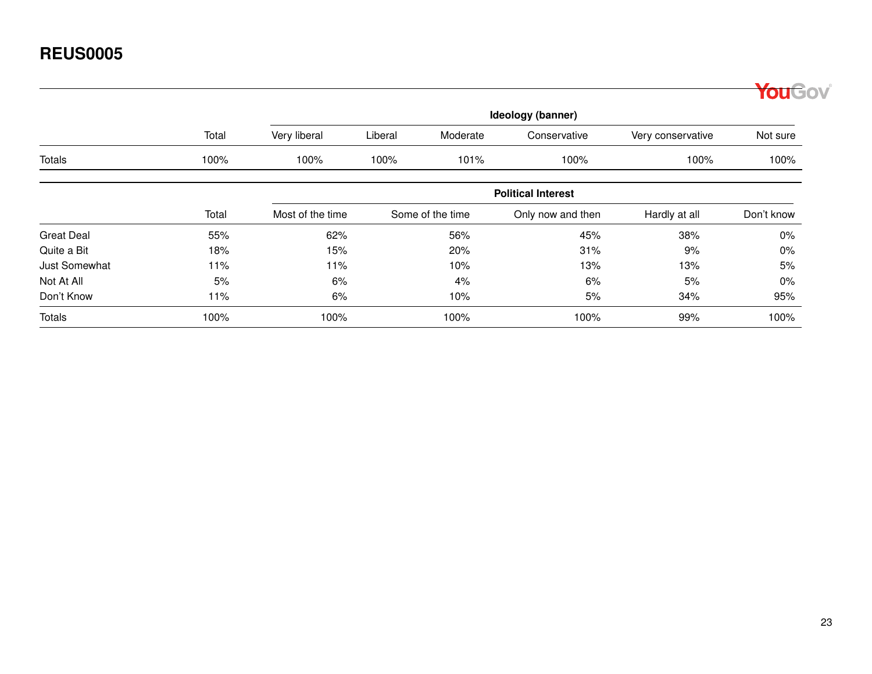|                      |       |                  |         |                  |                           |                   | <b>ouGov</b> |
|----------------------|-------|------------------|---------|------------------|---------------------------|-------------------|--------------|
|                      |       |                  |         |                  | Ideology (banner)         |                   |              |
|                      | Total | Very liberal     | Liberal | Moderate         | Conservative              | Very conservative | Not sure     |
| <b>Totals</b>        | 100%  | 100%             | 100%    | 101%             | 100%                      | 100%              | 100%         |
|                      |       |                  |         |                  | <b>Political Interest</b> |                   |              |
|                      | Total | Most of the time |         | Some of the time | Only now and then         | Hardly at all     | Don't know   |
| <b>Great Deal</b>    | 55%   | 62%              |         | 56%              | 45%                       | 38%               | 0%           |
| Quite a Bit          | 18%   | 15%              |         | 20%              | 31%                       | 9%                | 0%           |
| <b>Just Somewhat</b> | 11%   | 11%              |         | 10%              | 13%                       | 13%               | 5%           |
| Not At All           | 5%    | 6%               |         | 4%               | 6%                        | 5%                | $0\%$        |
| Don't Know           | 11%   | 6%               |         | 10%              | 5%                        | 34%               | 95%          |
| <b>Totals</b>        | 100%  | 100%             |         | 100%             | 100%                      | 99%               | 100%         |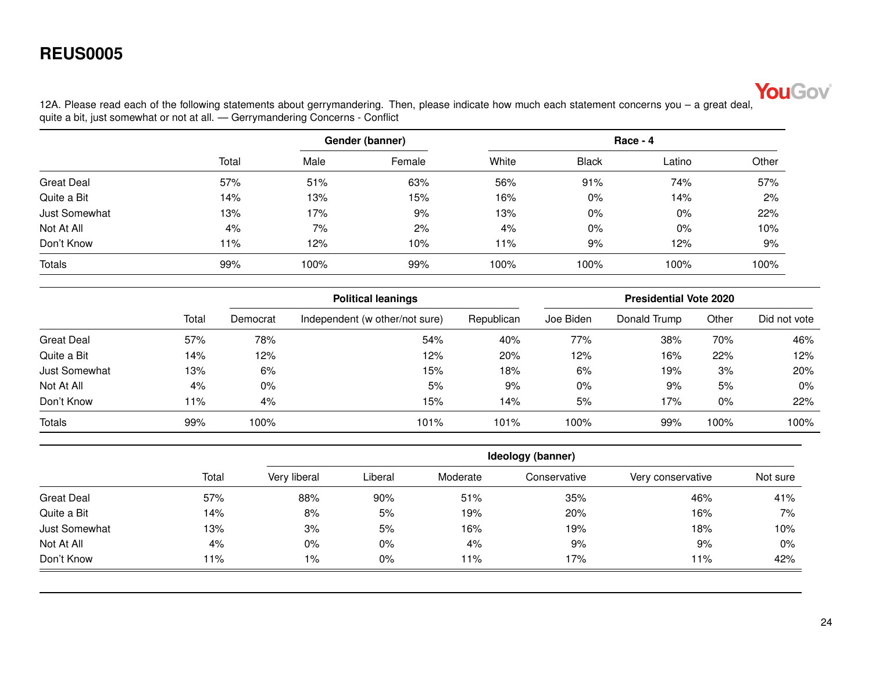

<span id="page-23-0"></span>12A. Please read each of the following statements about gerrymandering. Then, please indicate how much each statement concerns you – a great deal, quite a bit, just somewhat or not at all. — Gerrymandering Concerns - Conflict

|                      |       |      | Gender (banner) | $Race - 4$ |              |        |       |  |
|----------------------|-------|------|-----------------|------------|--------------|--------|-------|--|
|                      | Total | Male | Female          | White      | <b>Black</b> | Latino | Other |  |
| <b>Great Deal</b>    | 57%   | 51%  | 63%             | 56%        | 91%          | 74%    | 57%   |  |
| Quite a Bit          | 14%   | 13%  | 15%             | 16%        | $0\%$        | 14%    | 2%    |  |
| <b>Just Somewhat</b> | 13%   | 17%  | 9%              | 13%        | $0\%$        | $0\%$  | 22%   |  |
| Not At All           | 4%    | 7%   | 2%              | 4%         | $0\%$        | $0\%$  | 10%   |  |
| Don't Know           | 11%   | 12%  | 10%             | 11%        | 9%           | 12%    | 9%    |  |
| <b>Totals</b>        | 99%   | 100% | 99%             | 100%       | 100%         | 100%   | 100%  |  |

|                   |       | <b>Political leanings</b> |                                |            | <b>Presidential Vote 2020</b> |              |       |              |  |
|-------------------|-------|---------------------------|--------------------------------|------------|-------------------------------|--------------|-------|--------------|--|
|                   | Total | Democrat                  | Independent (w other/not sure) | Republican | Joe Biden                     | Donald Trump | Other | Did not vote |  |
| <b>Great Deal</b> | 57%   | 78%                       | 54%                            | 40%        | 77%                           | 38%          | 70%   | 46%          |  |
| Quite a Bit       | 14%   | 12%                       | 12%                            | 20%        | 12%                           | 16%          | 22%   | 12%          |  |
| Just Somewhat     | 13%   | 6%                        | 15%                            | 18%        | 6%                            | 19%          | 3%    | 20%          |  |
| Not At All        | 4%    | $0\%$                     | 5%                             | 9%         | 0%                            | 9%           | 5%    | $0\%$        |  |
| Don't Know        | 11%   | 4%                        | 15%                            | 14%        | 5%                            | 17%          | 0%    | 22%          |  |
| <b>Totals</b>     | 99%   | 100%                      | 101%                           | 101%       | 100%                          | 99%          | 100%  | 100%         |  |

|                   |       |              | Ideology (banner) |          |              |                   |          |  |  |  |
|-------------------|-------|--------------|-------------------|----------|--------------|-------------------|----------|--|--|--|
|                   | Total | Very liberal | Liberal           | Moderate | Conservative | Very conservative | Not sure |  |  |  |
| <b>Great Deal</b> | 57%   | 88%          | 90%               | 51%      | 35%          | 46%               | 41%      |  |  |  |
| Quite a Bit       | 14%   | 8%           | 5%                | 19%      | 20%          | 16%               | 7%       |  |  |  |
| Just Somewhat     | 13%   | 3%           | 5%                | 16%      | 19%          | 18%               | 10%      |  |  |  |
| Not At All        | 4%    | 0%           | $0\%$             | 4%       | 9%           | 9%                | $0\%$    |  |  |  |
| Don't Know        | 11%   | $1\%$        | 0%                | 11%      | 17%          | 11%               | 42%      |  |  |  |